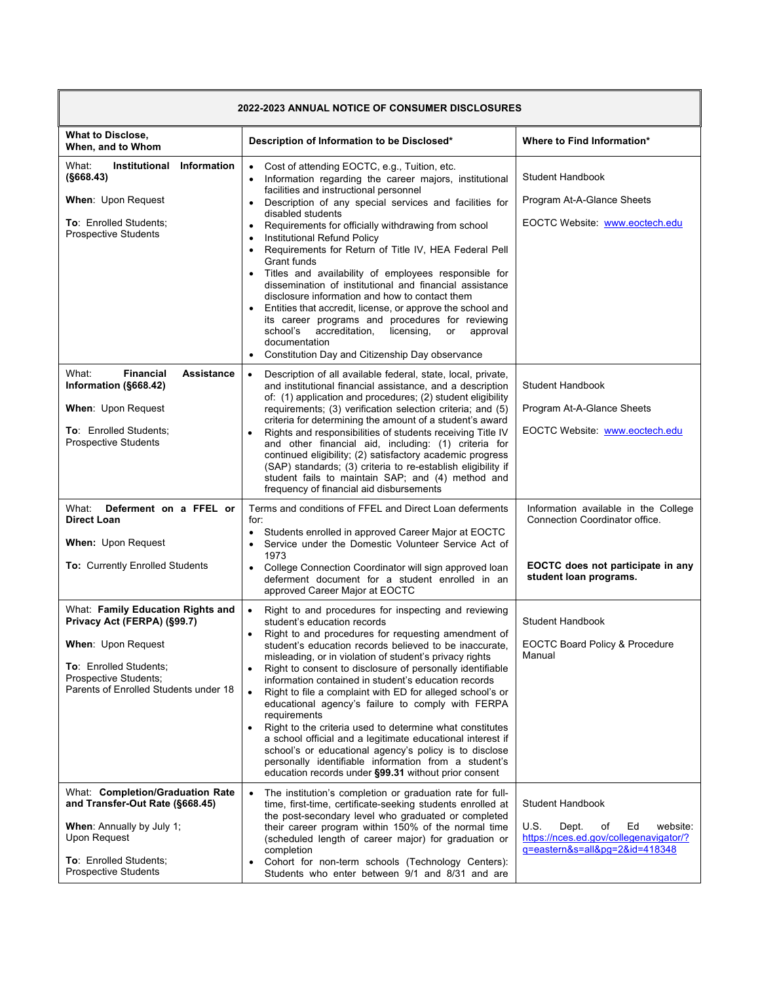| <b>2022-2023 ANNUAL NOTICE OF CONSUMER DISCLOSURES</b>                                                                                                                                    |                                                                                                                                                                                                                                                                                                                                                                                                                                                                                                                                                                                                                                                                                                                                                                                                                                                                                                                |                                                                                                                                              |
|-------------------------------------------------------------------------------------------------------------------------------------------------------------------------------------------|----------------------------------------------------------------------------------------------------------------------------------------------------------------------------------------------------------------------------------------------------------------------------------------------------------------------------------------------------------------------------------------------------------------------------------------------------------------------------------------------------------------------------------------------------------------------------------------------------------------------------------------------------------------------------------------------------------------------------------------------------------------------------------------------------------------------------------------------------------------------------------------------------------------|----------------------------------------------------------------------------------------------------------------------------------------------|
| <b>What to Disclose,</b><br>When, and to Whom                                                                                                                                             | Description of Information to be Disclosed*                                                                                                                                                                                                                                                                                                                                                                                                                                                                                                                                                                                                                                                                                                                                                                                                                                                                    | Where to Find Information*                                                                                                                   |
| What:<br>Information<br>Institutional<br>(S668.43)<br>When: Upon Request<br><b>To: Enrolled Students:</b><br><b>Prospective Students</b>                                                  | Cost of attending EOCTC, e.g., Tuition, etc.<br>$\bullet$<br>Information regarding the career majors, institutional<br>$\bullet$<br>facilities and instructional personnel<br>Description of any special services and facilities for<br>٠<br>disabled students<br>Requirements for officially withdrawing from school<br>$\bullet$<br>Institutional Refund Policy<br>٠<br>Requirements for Return of Title IV, HEA Federal Pell<br>$\bullet$<br>Grant funds<br>Titles and availability of employees responsible for<br>$\bullet$<br>dissemination of institutional and financial assistance<br>disclosure information and how to contact them<br>Entities that accredit, license, or approve the school and<br>its career programs and procedures for reviewing<br>school's<br>accreditation,<br>licensing,<br>approval<br>or<br>documentation<br>Constitution Day and Citizenship Day observance<br>$\bullet$ | <b>Student Handbook</b><br>Program At-A-Glance Sheets<br>EOCTC Website: www.eoctech.edu                                                      |
| What:<br><b>Financial</b><br><b>Assistance</b><br>Information (§668.42)<br>When: Upon Request<br>To: Enrolled Students;<br><b>Prospective Students</b>                                    | Description of all available federal, state, local, private,<br>$\bullet$<br>and institutional financial assistance, and a description<br>of: (1) application and procedures; (2) student eligibility<br>requirements; (3) verification selection criteria; and (5)<br>criteria for determining the amount of a student's award<br>Rights and responsibilities of students receiving Title IV<br>and other financial aid, including: (1) criteria for<br>continued eligibility; (2) satisfactory academic progress<br>(SAP) standards; (3) criteria to re-establish eligibility if<br>student fails to maintain SAP; and (4) method and<br>frequency of financial aid disbursements                                                                                                                                                                                                                            | Student Handbook<br>Program At-A-Glance Sheets<br>EOCTC Website: www.eoctech.edu                                                             |
| What:<br>Deferment on a FFEL or<br><b>Direct Loan</b><br><b>When: Upon Request</b><br><b>To: Currently Enrolled Students</b>                                                              | Terms and conditions of FFEL and Direct Loan deferments<br>for:<br>Students enrolled in approved Career Major at EOCTC<br>Service under the Domestic Volunteer Service Act of<br>$\bullet$<br>1973<br>College Connection Coordinator will sign approved loan<br>$\bullet$<br>deferment document for a student enrolled in an<br>approved Career Major at EOCTC                                                                                                                                                                                                                                                                                                                                                                                                                                                                                                                                                 | Information available in the College<br>Connection Coordinator office.<br>EOCTC does not participate in any<br>student loan programs.        |
| What: Family Education Rights and<br>Privacy Act (FERPA) (§99.7)<br><b>When:</b> Upon Request<br>To: Enrolled Students;<br>Prospective Students;<br>Parents of Enrolled Students under 18 | Right to and procedures for inspecting and reviewing<br>$\bullet$<br>student's education records<br>Right to and procedures for requesting amendment of<br>$\bullet$<br>student's education records believed to be inaccurate,<br>misleading, or in violation of student's privacy rights<br>Right to consent to disclosure of personally identifiable<br>information contained in student's education records<br>Right to file a complaint with ED for alleged school's or<br>$\bullet$<br>educational agency's failure to comply with FERPA<br>requirements<br>Right to the criteria used to determine what constitutes<br>a school official and a legitimate educational interest if<br>school's or educational agency's policy is to disclose<br>personally identifiable information from a student's<br>education records under §99.31 without prior consent                                              | <b>Student Handbook</b><br><b>EOCTC Board Policy &amp; Procedure</b><br>Manual                                                               |
| What: Completion/Graduation Rate<br>and Transfer-Out Rate (§668.45)<br>When: Annually by July 1;<br>Upon Request<br>To: Enrolled Students;<br><b>Prospective Students</b>                 | The institution's completion or graduation rate for full-<br>$\bullet$<br>time, first-time, certificate-seeking students enrolled at<br>the post-secondary level who graduated or completed<br>their career program within 150% of the normal time<br>(scheduled length of career major) for graduation or<br>completion<br>Cohort for non-term schools (Technology Centers):<br>Students who enter between 9/1 and 8/31 and are                                                                                                                                                                                                                                                                                                                                                                                                                                                                               | <b>Student Handbook</b><br>U.S.<br>Dept.<br>Ed<br>of<br>website:<br>https://nces.ed.gov/collegenavigator/?<br>g=eastern&s=all&pg=2&id=418348 |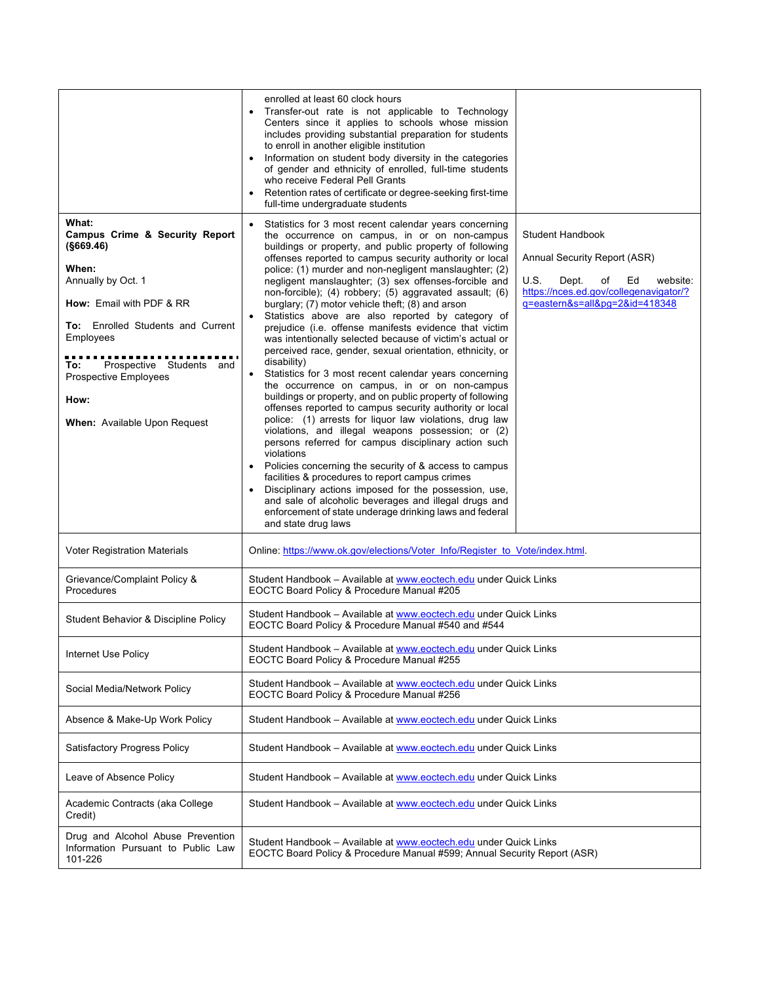|                                                                                                                                                                                                                                                                       | enrolled at least 60 clock hours<br>Transfer-out rate is not applicable to Technology<br>Centers since it applies to schools whose mission<br>includes providing substantial preparation for students<br>to enroll in another eligible institution<br>Information on student body diversity in the categories<br>$\bullet$<br>of gender and ethnicity of enrolled, full-time students<br>who receive Federal Pell Grants<br>Retention rates of certificate or degree-seeking first-time<br>full-time undergraduate students                                                                                                                                                                                                                                                                                                                                                                                                                                                                                                                                                                                                                                                                                                                                                                                                                                                                                                                                                                                                                                                                                                                                                               |  |
|-----------------------------------------------------------------------------------------------------------------------------------------------------------------------------------------------------------------------------------------------------------------------|-------------------------------------------------------------------------------------------------------------------------------------------------------------------------------------------------------------------------------------------------------------------------------------------------------------------------------------------------------------------------------------------------------------------------------------------------------------------------------------------------------------------------------------------------------------------------------------------------------------------------------------------------------------------------------------------------------------------------------------------------------------------------------------------------------------------------------------------------------------------------------------------------------------------------------------------------------------------------------------------------------------------------------------------------------------------------------------------------------------------------------------------------------------------------------------------------------------------------------------------------------------------------------------------------------------------------------------------------------------------------------------------------------------------------------------------------------------------------------------------------------------------------------------------------------------------------------------------------------------------------------------------------------------------------------------------|--|
| What:<br>Campus Crime & Security Report<br>(§669.46)<br>When:<br>Annually by Oct. 1<br>How: Email with PDF & RR<br>To: Enrolled Students and Current<br>Employees<br>Prospective Students and<br>To:<br>Prospective Employees<br>How:<br>When: Available Upon Request | Statistics for 3 most recent calendar years concerning<br>$\bullet$<br>the occurrence on campus, in or on non-campus<br><b>Student Handbook</b><br>buildings or property, and public property of following<br>offenses reported to campus security authority or local<br>Annual Security Report (ASR)<br>police: (1) murder and non-negligent manslaughter; (2)<br>negligent manslaughter; (3) sex offenses-forcible and<br>U.S.<br>Dept.<br>of<br>Ed<br>website:<br>https://nces.ed.gov/collegenavigator/?<br>non-forcible); (4) robbery; (5) aggravated assault; (6)<br>q=eastern&s=all&pg=2&id=418348<br>burglary; (7) motor vehicle theft; (8) and arson<br>Statistics above are also reported by category of<br>prejudice (i.e. offense manifests evidence that victim<br>was intentionally selected because of victim's actual or<br>perceived race, gender, sexual orientation, ethnicity, or<br>disability)<br>Statistics for 3 most recent calendar years concerning<br>$\bullet$<br>the occurrence on campus, in or on non-campus<br>buildings or property, and on public property of following<br>offenses reported to campus security authority or local<br>police: (1) arrests for liquor law violations, drug law<br>violations, and illegal weapons possession; or (2)<br>persons referred for campus disciplinary action such<br>violations<br>Policies concerning the security of & access to campus<br>$\bullet$<br>facilities & procedures to report campus crimes<br>Disciplinary actions imposed for the possession, use,<br>and sale of alcoholic beverages and illegal drugs and<br>enforcement of state underage drinking laws and federal<br>and state drug laws |  |
| <b>Voter Registration Materials</b>                                                                                                                                                                                                                                   | Online: https://www.ok.gov/elections/Voter Info/Register to Vote/index.html.                                                                                                                                                                                                                                                                                                                                                                                                                                                                                                                                                                                                                                                                                                                                                                                                                                                                                                                                                                                                                                                                                                                                                                                                                                                                                                                                                                                                                                                                                                                                                                                                              |  |
| Grievance/Complaint Policy &<br>Procedures                                                                                                                                                                                                                            | Student Handbook - Available at www.eoctech.edu under Quick Links<br>EOCTC Board Policy & Procedure Manual #205                                                                                                                                                                                                                                                                                                                                                                                                                                                                                                                                                                                                                                                                                                                                                                                                                                                                                                                                                                                                                                                                                                                                                                                                                                                                                                                                                                                                                                                                                                                                                                           |  |
| Student Behavior & Discipline Policy                                                                                                                                                                                                                                  | Student Handbook - Available at www.eoctech.edu under Quick Links<br>EOCTC Board Policy & Procedure Manual #540 and #544                                                                                                                                                                                                                                                                                                                                                                                                                                                                                                                                                                                                                                                                                                                                                                                                                                                                                                                                                                                                                                                                                                                                                                                                                                                                                                                                                                                                                                                                                                                                                                  |  |
| Internet Use Policy                                                                                                                                                                                                                                                   | Student Handbook - Available at www.eoctech.edu under Quick Links<br>EOCTC Board Policy & Procedure Manual #255                                                                                                                                                                                                                                                                                                                                                                                                                                                                                                                                                                                                                                                                                                                                                                                                                                                                                                                                                                                                                                                                                                                                                                                                                                                                                                                                                                                                                                                                                                                                                                           |  |
| Social Media/Network Policy                                                                                                                                                                                                                                           | Student Handbook - Available at www.eoctech.edu under Quick Links<br>EOCTC Board Policy & Procedure Manual #256                                                                                                                                                                                                                                                                                                                                                                                                                                                                                                                                                                                                                                                                                                                                                                                                                                                                                                                                                                                                                                                                                                                                                                                                                                                                                                                                                                                                                                                                                                                                                                           |  |
| Absence & Make-Up Work Policy                                                                                                                                                                                                                                         | Student Handbook - Available at www.eoctech.edu under Quick Links                                                                                                                                                                                                                                                                                                                                                                                                                                                                                                                                                                                                                                                                                                                                                                                                                                                                                                                                                                                                                                                                                                                                                                                                                                                                                                                                                                                                                                                                                                                                                                                                                         |  |
| <b>Satisfactory Progress Policy</b>                                                                                                                                                                                                                                   | Student Handbook - Available at www.eoctech.edu under Quick Links                                                                                                                                                                                                                                                                                                                                                                                                                                                                                                                                                                                                                                                                                                                                                                                                                                                                                                                                                                                                                                                                                                                                                                                                                                                                                                                                                                                                                                                                                                                                                                                                                         |  |
| Leave of Absence Policy                                                                                                                                                                                                                                               | Student Handbook - Available at www.eoctech.edu under Quick Links                                                                                                                                                                                                                                                                                                                                                                                                                                                                                                                                                                                                                                                                                                                                                                                                                                                                                                                                                                                                                                                                                                                                                                                                                                                                                                                                                                                                                                                                                                                                                                                                                         |  |
| Academic Contracts (aka College<br>Credit)                                                                                                                                                                                                                            | Student Handbook - Available at www.eoctech.edu under Quick Links                                                                                                                                                                                                                                                                                                                                                                                                                                                                                                                                                                                                                                                                                                                                                                                                                                                                                                                                                                                                                                                                                                                                                                                                                                                                                                                                                                                                                                                                                                                                                                                                                         |  |
| Drug and Alcohol Abuse Prevention<br>Information Pursuant to Public Law<br>101-226                                                                                                                                                                                    | Student Handbook - Available at www.eoctech.edu under Quick Links<br>EOCTC Board Policy & Procedure Manual #599; Annual Security Report (ASR)                                                                                                                                                                                                                                                                                                                                                                                                                                                                                                                                                                                                                                                                                                                                                                                                                                                                                                                                                                                                                                                                                                                                                                                                                                                                                                                                                                                                                                                                                                                                             |  |